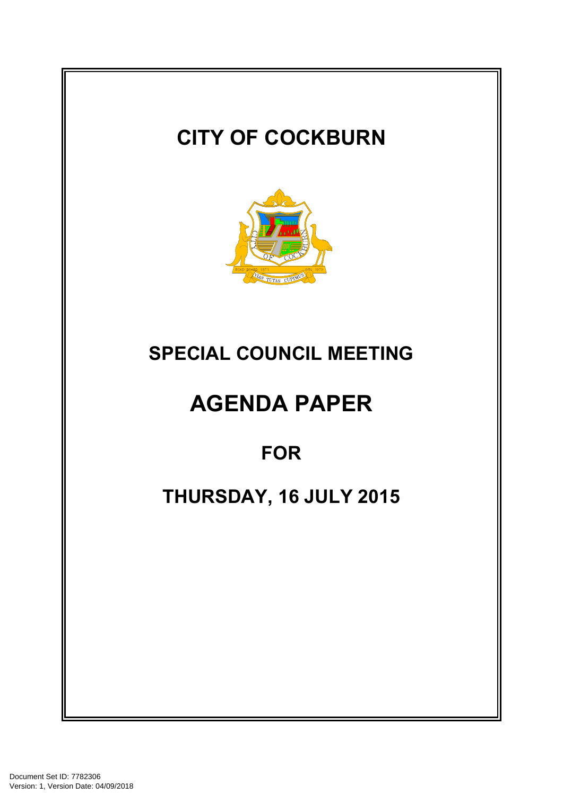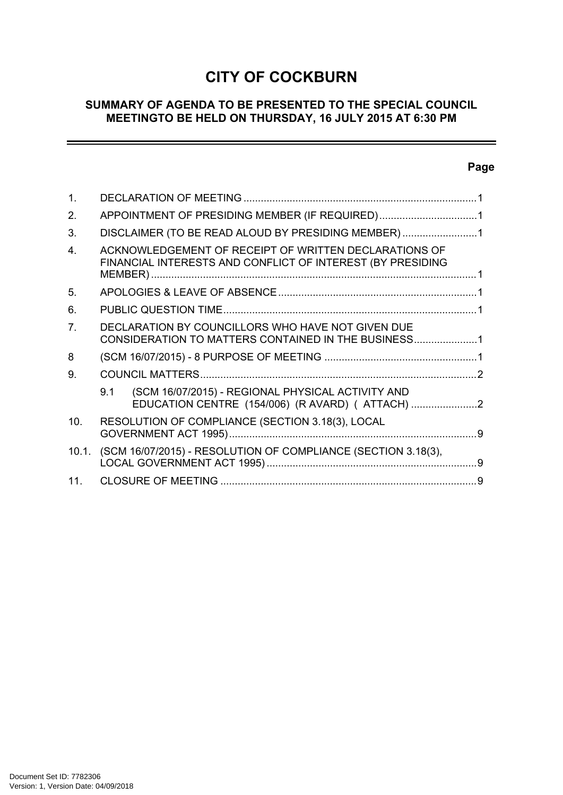# **CITY OF COCKBURN**

### **SUMMARY OF AGENDA TO BE PRESENTED TO THE SPECIAL COUNCIL MEETINGTO BE HELD ON THURSDAY, 16 JULY 2015 AT 6:30 PM**

# **Page**

 $=$ 

| 1.             |                                                                                                                     |                                                                                                     |  |
|----------------|---------------------------------------------------------------------------------------------------------------------|-----------------------------------------------------------------------------------------------------|--|
| 2.             | APPOINTMENT OF PRESIDING MEMBER (IF REQUIRED)1                                                                      |                                                                                                     |  |
| 3.             | DISCLAIMER (TO BE READ ALOUD BY PRESIDING MEMBER)1                                                                  |                                                                                                     |  |
| 4              | ACKNOWLEDGEMENT OF RECEIPT OF WRITTEN DECLARATIONS OF<br>FINANCIAL INTERESTS AND CONFLICT OF INTEREST (BY PRESIDING |                                                                                                     |  |
| 5.             |                                                                                                                     |                                                                                                     |  |
| 6.             |                                                                                                                     |                                                                                                     |  |
| 7 <sub>1</sub> | DECLARATION BY COUNCILLORS WHO HAVE NOT GIVEN DUE<br>CONSIDERATION TO MATTERS CONTAINED IN THE BUSINESS1            |                                                                                                     |  |
| 8              |                                                                                                                     |                                                                                                     |  |
| 9.             |                                                                                                                     |                                                                                                     |  |
|                | 9.1                                                                                                                 | (SCM 16/07/2015) - REGIONAL PHYSICAL ACTIVITY AND<br>EDUCATION CENTRE (154/006) (R AVARD) ( ATTACH) |  |
| 10.            | RESOLUTION OF COMPLIANCE (SECTION 3.18(3), LOCAL                                                                    |                                                                                                     |  |
|                | 10.1. (SCM 16/07/2015) - RESOLUTION OF COMPLIANCE (SECTION 3.18(3),                                                 |                                                                                                     |  |
| 11.            |                                                                                                                     |                                                                                                     |  |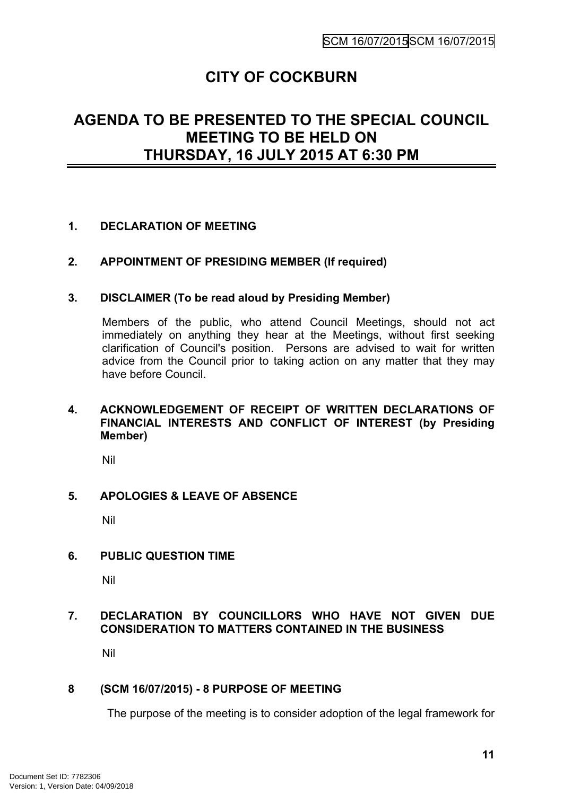# **CITY OF COCKBURN**

# **AGENDA TO BE PRESENTED TO THE SPECIAL COUNCIL MEETING TO BE HELD ON THURSDAY, 16 JULY 2015 AT 6:30 PM**

## <span id="page-2-0"></span>**1. DECLARATION OF MEETING**

#### <span id="page-2-1"></span>**2. APPOINTMENT OF PRESIDING MEMBER (If required)**

#### <span id="page-2-2"></span>**3. DISCLAIMER (To be read aloud by Presiding Member)**

Members of the public, who attend Council Meetings, should not act immediately on anything they hear at the Meetings, without first seeking clarification of Council's position. Persons are advised to wait for written advice from the Council prior to taking action on any matter that they may have before Council.

#### <span id="page-2-3"></span>**4. ACKNOWLEDGEMENT OF RECEIPT OF WRITTEN DECLARATIONS OF FINANCIAL INTERESTS AND CONFLICT OF INTEREST (by Presiding Member)**

Nil

#### <span id="page-2-4"></span>**5. APOLOGIES & LEAVE OF ABSENCE**

Nil

#### <span id="page-2-5"></span>**6. PUBLIC QUESTION TIME**

Nil

### <span id="page-2-6"></span>**7. DECLARATION BY COUNCILLORS WHO HAVE NOT GIVEN DUE CONSIDERATION TO MATTERS CONTAINED IN THE BUSINESS**

Nil

#### <span id="page-2-7"></span>**8 (SCM 16/07/2015) - 8 PURPOSE OF MEETING**

The purpose of the meeting is to consider adoption of the legal framework for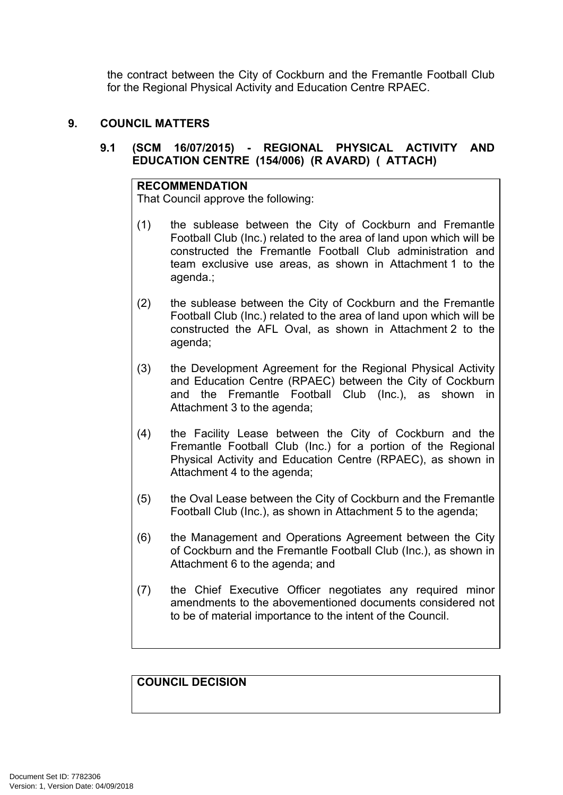the contract between the City of Cockburn and the Fremantle Football Club for the Regional Physical Activity and Education Centre RPAEC.

#### <span id="page-3-0"></span>**9. COUNCIL MATTERS**

## <span id="page-3-1"></span>**9.1 (SCM 16/07/2015) - REGIONAL PHYSICAL ACTIVITY AND EDUCATION CENTRE (154/006) (R AVARD) ( ATTACH)**

#### **RECOMMENDATION**

That Council approve the following:

- (1) the sublease between the City of Cockburn and Fremantle Football Club (Inc.) related to the area of land upon which will be constructed the Fremantle Football Club administration and team exclusive use areas, as shown in Attachment 1 to the agenda.;
- (2) the sublease between the City of Cockburn and the Fremantle Football Club (Inc.) related to the area of land upon which will be constructed the AFL Oval, as shown in Attachment 2 to the agenda;
- (3) the Development Agreement for the Regional Physical Activity and Education Centre (RPAEC) between the City of Cockburn and the Fremantle Football Club (Inc.), as shown in Attachment 3 to the agenda;
- (4) the Facility Lease between the City of Cockburn and the Fremantle Football Club (Inc.) for a portion of the Regional Physical Activity and Education Centre (RPAEC), as shown in Attachment 4 to the agenda;
- (5) the Oval Lease between the City of Cockburn and the Fremantle Football Club (Inc.), as shown in Attachment 5 to the agenda;
- (6) the Management and Operations Agreement between the City of Cockburn and the Fremantle Football Club (Inc.), as shown in Attachment 6 to the agenda; and
- (7) the Chief Executive Officer negotiates any required minor amendments to the abovementioned documents considered not to be of material importance to the intent of the Council.

**COUNCIL DECISION**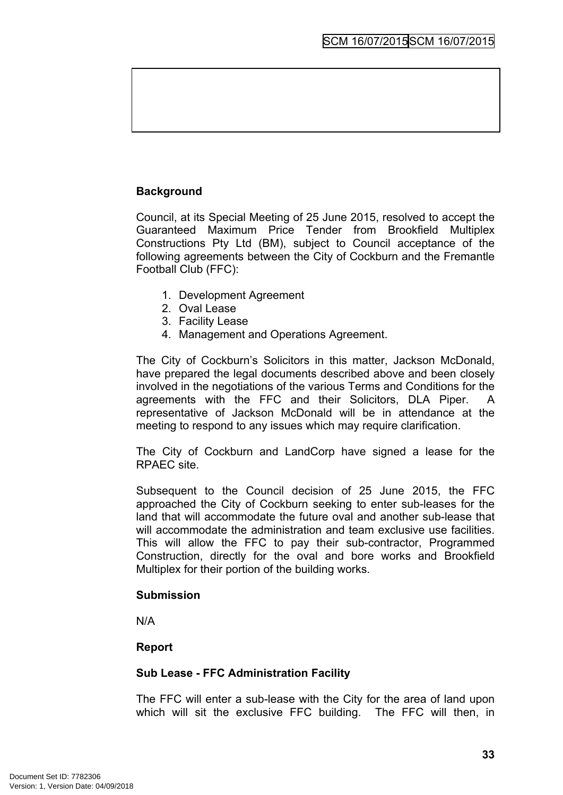# **Background**

Council, at its Special Meeting of 25 June 2015, resolved to accept the Guaranteed Maximum Price Tender from Brookfield Multiplex Constructions Pty Ltd (BM), subject to Council acceptance of the following agreements between the City of Cockburn and the Fremantle Football Club (FFC):

- 1. Development Agreement
- 2. Oval Lease
- 3. Facility Lease
- 4. Management and Operations Agreement.

The City of Cockburn's Solicitors in this matter, Jackson McDonald, have prepared the legal documents described above and been closely involved in the negotiations of the various Terms and Conditions for the agreements with the FFC and their Solicitors, DLA Piper. A representative of Jackson McDonald will be in attendance at the meeting to respond to any issues which may require clarification.

The City of Cockburn and LandCorp have signed a lease for the RPAEC site.

Subsequent to the Council decision of 25 June 2015, the FFC approached the City of Cockburn seeking to enter sub-leases for the land that will accommodate the future oval and another sub-lease that will accommodate the administration and team exclusive use facilities. This will allow the FFC to pay their sub-contractor, Programmed Construction, directly for the oval and bore works and Brookfield Multiplex for their portion of the building works.

#### **Submission**

N/A

## **Report**

#### **Sub Lease - FFC Administration Facility**

The FFC will enter a sub-lease with the City for the area of land upon which will sit the exclusive FFC building. The FFC will then, in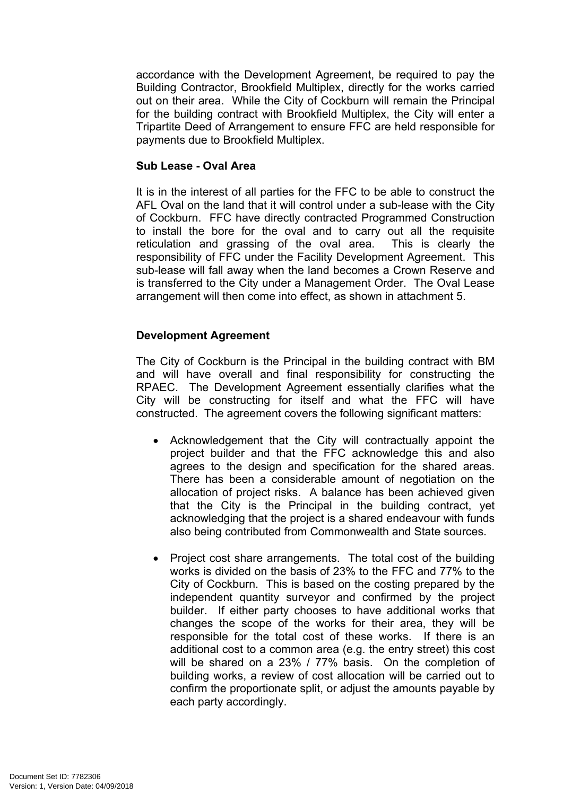accordance with the Development Agreement, be required to pay the Building Contractor, Brookfield Multiplex, directly for the works carried out on their area. While the City of Cockburn will remain the Principal for the building contract with Brookfield Multiplex, the City will enter a Tripartite Deed of Arrangement to ensure FFC are held responsible for payments due to Brookfield Multiplex.

#### **Sub Lease - Oval Area**

It is in the interest of all parties for the FFC to be able to construct the AFL Oval on the land that it will control under a sub-lease with the City of Cockburn. FFC have directly contracted Programmed Construction to install the bore for the oval and to carry out all the requisite reticulation and grassing of the oval area. This is clearly the responsibility of FFC under the Facility Development Agreement. This sub-lease will fall away when the land becomes a Crown Reserve and is transferred to the City under a Management Order. The Oval Lease arrangement will then come into effect, as shown in attachment 5.

#### **Development Agreement**

The City of Cockburn is the Principal in the building contract with BM and will have overall and final responsibility for constructing the RPAEC. The Development Agreement essentially clarifies what the City will be constructing for itself and what the FFC will have constructed. The agreement covers the following significant matters:

- Acknowledgement that the City will contractually appoint the project builder and that the FFC acknowledge this and also agrees to the design and specification for the shared areas. There has been a considerable amount of negotiation on the allocation of project risks. A balance has been achieved given that the City is the Principal in the building contract, yet acknowledging that the project is a shared endeavour with funds also being contributed from Commonwealth and State sources.
- Project cost share arrangements. The total cost of the building works is divided on the basis of 23% to the FFC and 77% to the City of Cockburn. This is based on the costing prepared by the independent quantity surveyor and confirmed by the project builder. If either party chooses to have additional works that changes the scope of the works for their area, they will be responsible for the total cost of these works. If there is an additional cost to a common area (e.g. the entry street) this cost will be shared on a 23% / 77% basis. On the completion of building works, a review of cost allocation will be carried out to confirm the proportionate split, or adjust the amounts payable by each party accordingly.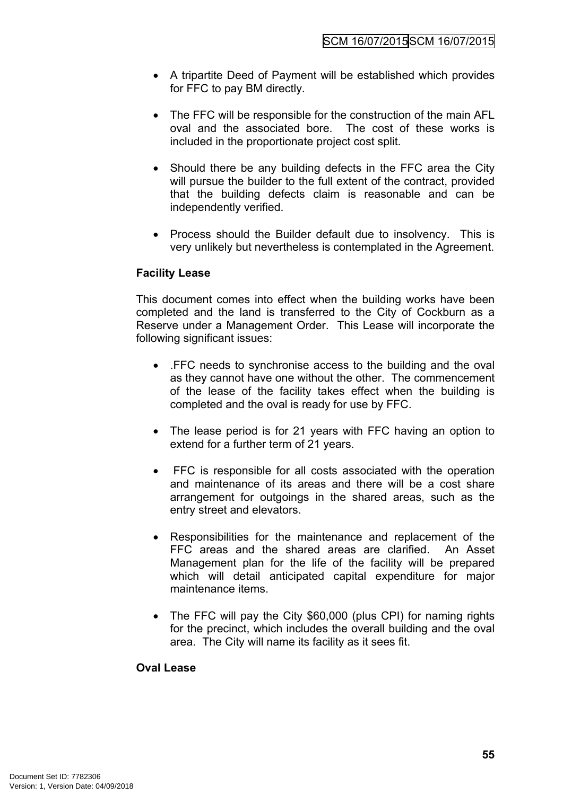- A tripartite Deed of Payment will be established which provides for FFC to pay BM directly.
- The FFC will be responsible for the construction of the main AFL oval and the associated bore. The cost of these works is included in the proportionate project cost split.
- Should there be any building defects in the FFC area the City will pursue the builder to the full extent of the contract, provided that the building defects claim is reasonable and can be independently verified.
- Process should the Builder default due to insolvency. This is very unlikely but nevertheless is contemplated in the Agreement.

## **Facility Lease**

This document comes into effect when the building works have been completed and the land is transferred to the City of Cockburn as a Reserve under a Management Order. This Lease will incorporate the following significant issues:

- .FFC needs to synchronise access to the building and the oval as they cannot have one without the other. The commencement of the lease of the facility takes effect when the building is completed and the oval is ready for use by FFC.
- The lease period is for 21 years with FFC having an option to extend for a further term of 21 years.
- FFC is responsible for all costs associated with the operation and maintenance of its areas and there will be a cost share arrangement for outgoings in the shared areas, such as the entry street and elevators.
- Responsibilities for the maintenance and replacement of the FFC areas and the shared areas are clarified. An Asset Management plan for the life of the facility will be prepared which will detail anticipated capital expenditure for major maintenance items.
- The FFC will pay the City \$60,000 (plus CPI) for naming rights for the precinct, which includes the overall building and the oval area. The City will name its facility as it sees fit.

#### **Oval Lease**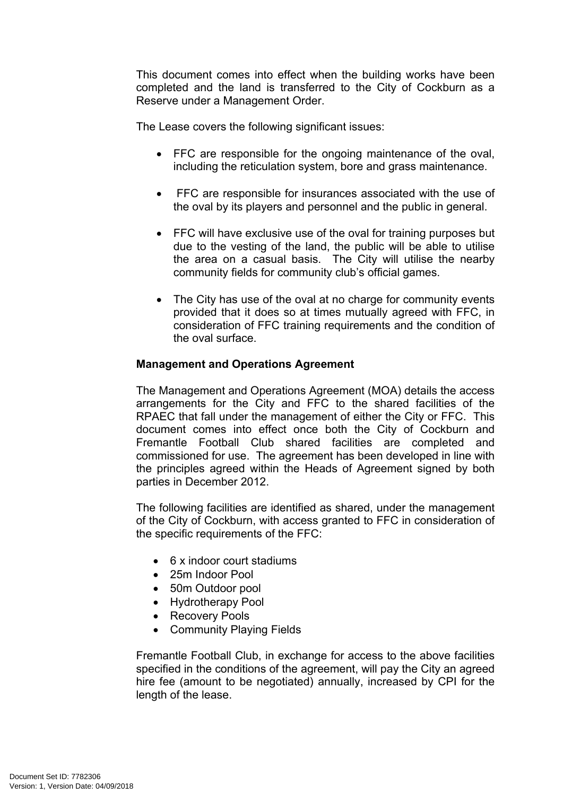This document comes into effect when the building works have been completed and the land is transferred to the City of Cockburn as a Reserve under a Management Order.

The Lease covers the following significant issues:

- FFC are responsible for the ongoing maintenance of the oval, including the reticulation system, bore and grass maintenance.
- FFC are responsible for insurances associated with the use of the oval by its players and personnel and the public in general.
- FFC will have exclusive use of the oval for training purposes but due to the vesting of the land, the public will be able to utilise the area on a casual basis. The City will utilise the nearby community fields for community club's official games.
- The City has use of the oval at no charge for community events provided that it does so at times mutually agreed with FFC, in consideration of FFC training requirements and the condition of the oval surface.

#### **Management and Operations Agreement**

The Management and Operations Agreement (MOA) details the access arrangements for the City and FFC to the shared facilities of the RPAEC that fall under the management of either the City or FFC. This document comes into effect once both the City of Cockburn and Fremantle Football Club shared facilities are completed and commissioned for use. The agreement has been developed in line with the principles agreed within the Heads of Agreement signed by both parties in December 2012.

The following facilities are identified as shared, under the management of the City of Cockburn, with access granted to FFC in consideration of the specific requirements of the FFC:

- 6 x indoor court stadiums
- 25m Indoor Pool
- 50m Outdoor pool
- Hydrotherapy Pool
- Recovery Pools
- Community Playing Fields

Fremantle Football Club, in exchange for access to the above facilities specified in the conditions of the agreement, will pay the City an agreed hire fee (amount to be negotiated) annually, increased by CPI for the length of the lease.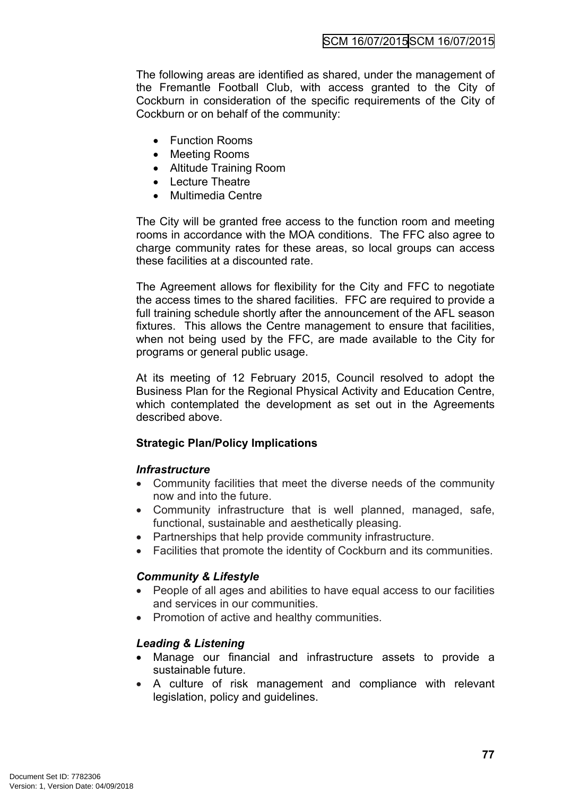The following areas are identified as shared, under the management of the Fremantle Football Club, with access granted to the City of Cockburn in consideration of the specific requirements of the City of Cockburn or on behalf of the community:

- Function Rooms
- Meeting Rooms
- Altitude Training Room
- Lecture Theatre
- Multimedia Centre

The City will be granted free access to the function room and meeting rooms in accordance with the MOA conditions. The FFC also agree to charge community rates for these areas, so local groups can access these facilities at a discounted rate.

The Agreement allows for flexibility for the City and FFC to negotiate the access times to the shared facilities. FFC are required to provide a full training schedule shortly after the announcement of the AFL season fixtures. This allows the Centre management to ensure that facilities, when not being used by the FFC, are made available to the City for programs or general public usage.

At its meeting of 12 February 2015, Council resolved to adopt the Business Plan for the Regional Physical Activity and Education Centre, which contemplated the development as set out in the Agreements described above.

## **Strategic Plan/Policy Implications**

#### *Infrastructure*

- Community facilities that meet the diverse needs of the community now and into the future.
- Community infrastructure that is well planned, managed, safe, functional, sustainable and aesthetically pleasing.
- Partnerships that help provide community infrastructure.
- Facilities that promote the identity of Cockburn and its communities.

## *Community & Lifestyle*

- People of all ages and abilities to have equal access to our facilities and services in our communities.
- Promotion of active and healthy communities.

## *Leading & Listening*

- Manage our financial and infrastructure assets to provide a sustainable future.
- A culture of risk management and compliance with relevant legislation, policy and guidelines.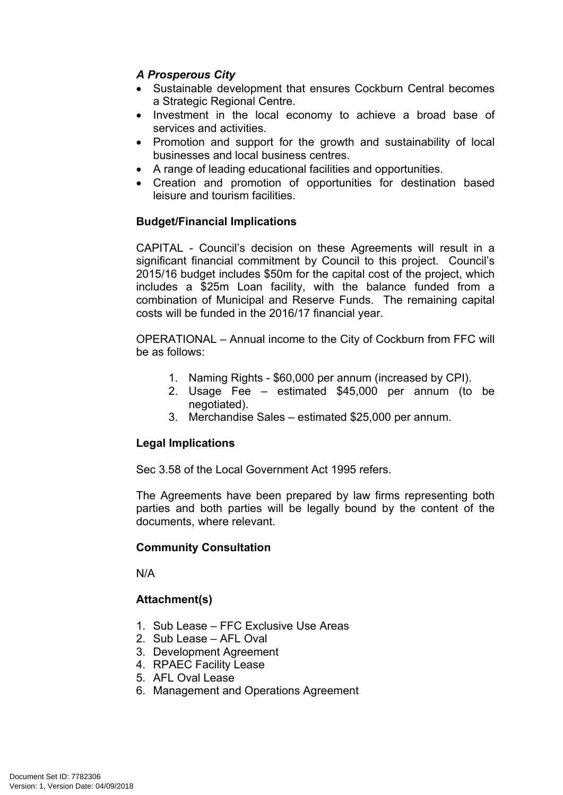## *A Prosperous City*

- Sustainable development that ensures Cockburn Central becomes a Strategic Regional Centre.
- Investment in the local economy to achieve a broad base of services and activities.
- Promotion and support for the growth and sustainability of local businesses and local business centres.
- A range of leading educational facilities and opportunities.
- Creation and promotion of opportunities for destination based leisure and tourism facilities.

## **Budget/Financial Implications**

CAPITAL - Council's decision on these Agreements will result in a significant financial commitment by Council to this project. Council's 2015/16 budget includes \$50m for the capital cost of the project, which includes a \$25m Loan facility, with the balance funded from a combination of Municipal and Reserve Funds. The remaining capital costs will be funded in the 2016/17 financial year.

OPERATIONAL – Annual income to the City of Cockburn from FFC will be as follows:

- 1. Naming Rights \$60,000 per annum (increased by CPI).
- 2. Usage Fee estimated \$45,000 per annum (to be negotiated).
- 3. Merchandise Sales estimated \$25,000 per annum.

# **Legal Implications**

Sec 3.58 of the Local Government Act 1995 refers.

The Agreements have been prepared by law firms representing both parties and both parties will be legally bound by the content of the documents, where relevant.

## **Community Consultation**

N/A

## **Attachment(s)**

- 1. Sub Lease FFC Exclusive Use Areas
- 2. Sub Lease AFL Oval
- 3. Development Agreement
- 4. RPAEC Facility Lease
- 5. AFL Oval Lease
- 6. Management and Operations Agreement